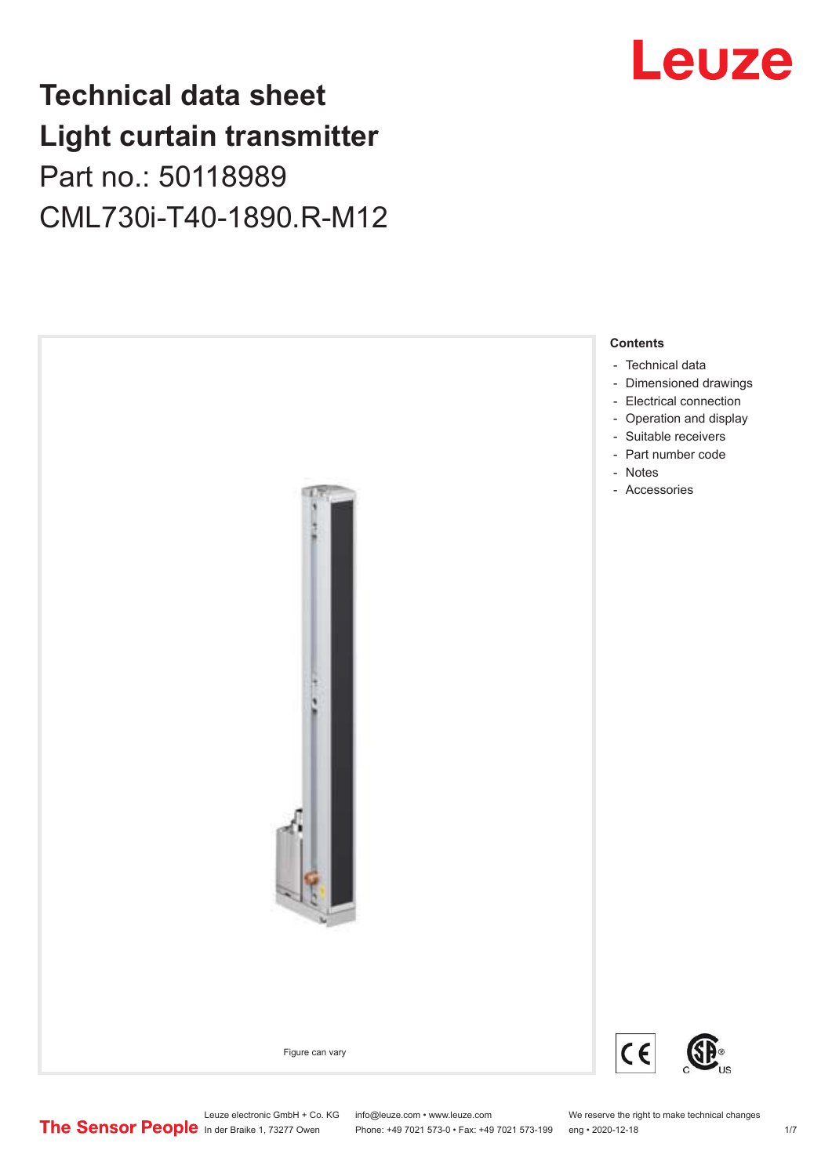# **Technical data sheet Light curtain transmitter** Part no.: 50118989 CML730i-T40-1890.R-M12





Leuze electronic GmbH + Co. KG info@leuze.com • www.leuze.com We reserve the right to make technical changes<br>
The Sensor People in der Braike 1, 73277 Owen Phone: +49 7021 573-0 • Fax: +49 7021 573-199 eng • 2020-12-18

Phone: +49 7021 573-0 • Fax: +49 7021 573-199 eng • 2020-12-18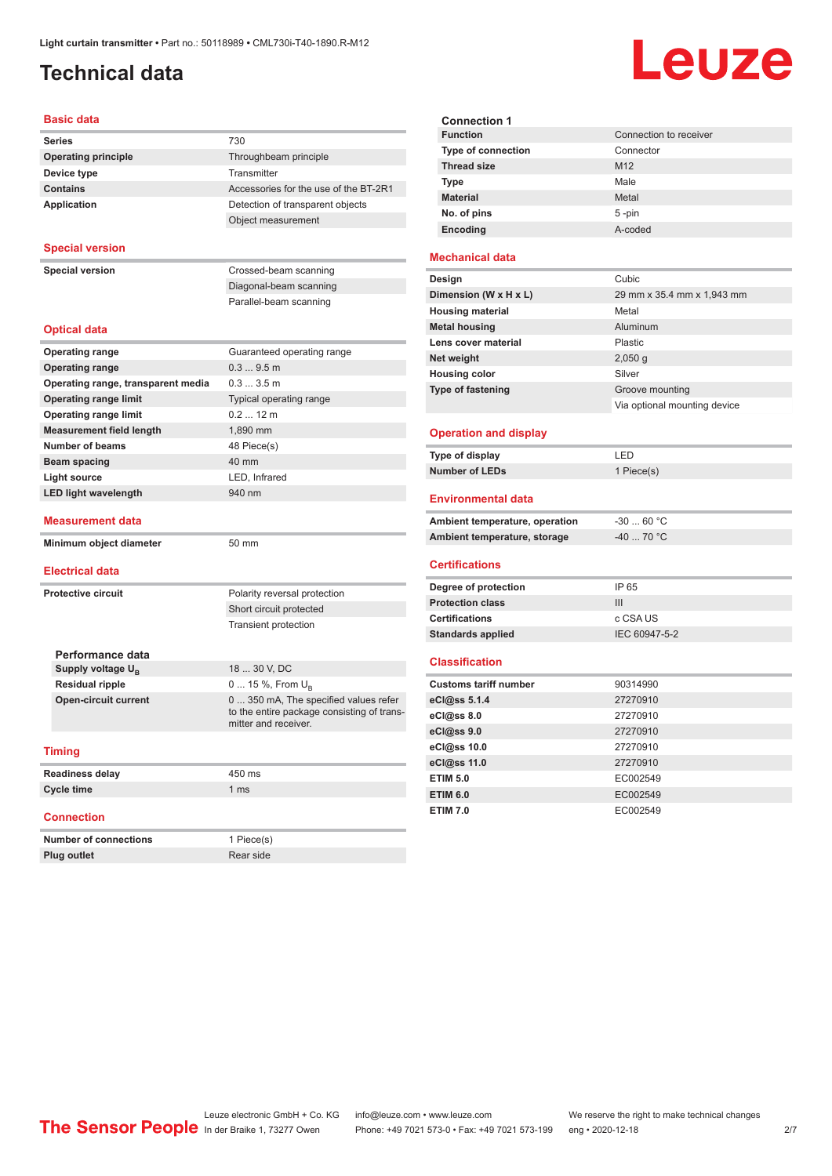# <span id="page-1-0"></span>**Technical data**

# Leuze

| <b>Basic data</b> |  |
|-------------------|--|
|-------------------|--|

| <b>Series</b>              | 730                                   |
|----------------------------|---------------------------------------|
| <b>Operating principle</b> | Throughbeam principle                 |
| Device type                | Transmitter                           |
| <b>Contains</b>            | Accessories for the use of the BT-2R1 |
| <b>Application</b>         | Detection of transparent objects      |
|                            | Object measurement                    |

### **Special version**

**Special version** Crossed-beam scanning

Diagonal-beam scanning Parallel-beam scanning

### **Optical data**

| <b>Operating range</b>             | Guaranteed operating range                                                                                  |
|------------------------------------|-------------------------------------------------------------------------------------------------------------|
| <b>Operating range</b>             | $0.3$ 9.5 m                                                                                                 |
| Operating range, transparent media | 0.33.5m                                                                                                     |
| <b>Operating range limit</b>       | Typical operating range                                                                                     |
| <b>Operating range limit</b>       | $0.212$ m                                                                                                   |
| <b>Measurement field length</b>    | 1.890 mm                                                                                                    |
| Number of beams                    | 48 Piece(s)                                                                                                 |
| <b>Beam spacing</b>                | $40 \text{ mm}$                                                                                             |
| <b>Light source</b>                | LED, Infrared                                                                                               |
| <b>LED light wavelength</b>        | 940 nm                                                                                                      |
|                                    |                                                                                                             |
| <b>Measurement data</b>            |                                                                                                             |
| Minimum object diameter            | 50 mm                                                                                                       |
|                                    |                                                                                                             |
|                                    |                                                                                                             |
| <b>Electrical data</b>             |                                                                                                             |
| Protective circuit                 | Polarity reversal protection                                                                                |
|                                    | Short circuit protected                                                                                     |
|                                    | Transient protection                                                                                        |
|                                    |                                                                                                             |
| Performance data                   |                                                                                                             |
| Supply voltage U <sub>B</sub>      | 18  30 V, DC                                                                                                |
| <b>Residual ripple</b>             | 0  15 %, From U <sub>p</sub>                                                                                |
| <b>Open-circuit current</b>        | 0  350 mA, The specified values refer<br>to the entire package consisting of trans-<br>mitter and receiver. |

| <b>Readiness delay</b> | 450 ms          |
|------------------------|-----------------|
| Cycle time             | 1 <sub>ms</sub> |
|                        |                 |

### **Connection**

| <b>Number of connections</b> | 1 Piece(s) |
|------------------------------|------------|
| <b>Plug outlet</b>           | Rear side  |

| <b>Connection 1</b>       |                        |
|---------------------------|------------------------|
| <b>Function</b>           | Connection to receiver |
| <b>Type of connection</b> | Connector              |
| <b>Thread size</b>        | M <sub>12</sub>        |
| Type                      | Male                   |
| <b>Material</b>           | Metal                  |
| No. of pins               | $5 - pin$              |
| Encoding                  | A-coded                |
|                           |                        |

### **Mechanical data**

| Design                   | Cubic                        |
|--------------------------|------------------------------|
| Dimension (W x H x L)    | 29 mm x 35.4 mm x 1,943 mm   |
| <b>Housing material</b>  | Metal                        |
| <b>Metal housing</b>     | Aluminum                     |
| Lens cover material      | Plastic                      |
| Net weight               | 2,050q                       |
| <b>Housing color</b>     | Silver                       |
| <b>Type of fastening</b> | Groove mounting              |
|                          | Via optional mounting device |
|                          |                              |

### **Operation and display**

| Type of display | ' FD.      |
|-----------------|------------|
| Number of LEDs  | 1 Piece(s) |

### **Environmental data**

| Ambient temperature, operation | -30  60 °C  |
|--------------------------------|-------------|
| Ambient temperature, storage   | $-40$ 70 °C |

### **Certifications**

| Degree of protection     | IP 65         |
|--------------------------|---------------|
| <b>Protection class</b>  | Ш             |
| <b>Certifications</b>    | c CSA US      |
| <b>Standards applied</b> | IEC 60947-5-2 |

#### **Classification**

| <b>Customs tariff number</b> | 90314990 |
|------------------------------|----------|
| eCl@ss 5.1.4                 | 27270910 |
| eCl@ss 8.0                   | 27270910 |
| eCl@ss 9.0                   | 27270910 |
| eCl@ss 10.0                  | 27270910 |
| eCl@ss 11.0                  | 27270910 |
| <b>ETIM 5.0</b>              | EC002549 |
| <b>ETIM 6.0</b>              | EC002549 |
| <b>ETIM 7.0</b>              | EC002549 |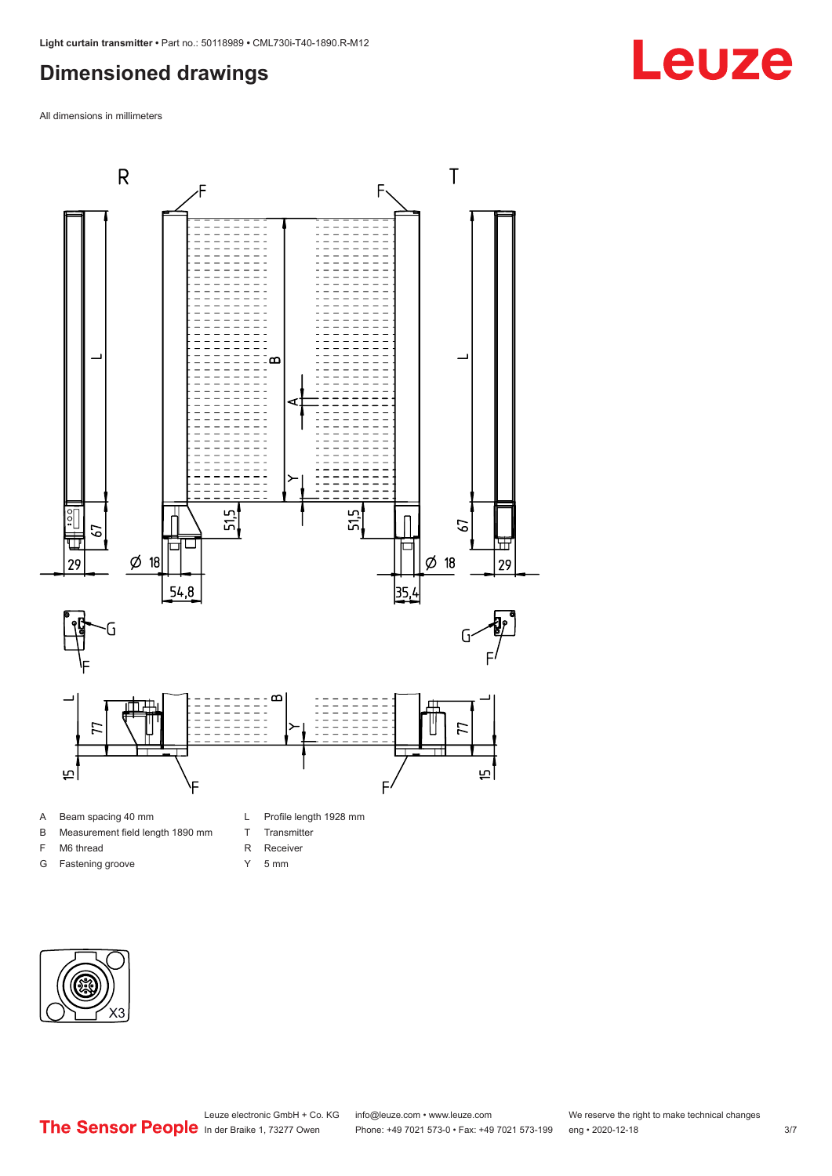# <span id="page-2-0"></span>**Dimensioned drawings**

All dimensions in millimeters



### A Beam spacing 40 mm

- B Measurement field length 1890 mm
- F M6 thread
- G Fastening groove
- L Profile length 1928 mm
- T Transmitter
- R Receiver
- Y 5 mm



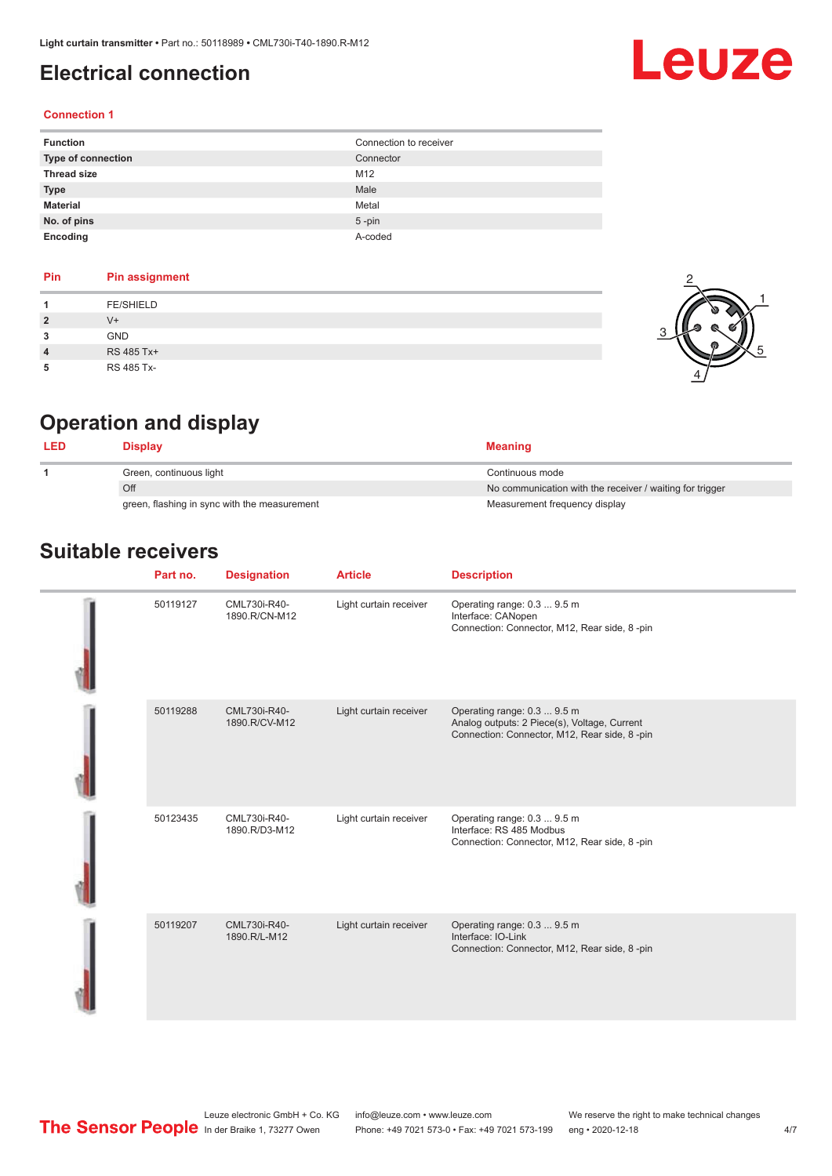# <span id="page-3-0"></span>**Electrical connection**

# Leuze

### **Connection 1**

| <b>Function</b>           | Connection to receiver |
|---------------------------|------------------------|
| <b>Type of connection</b> | Connector              |
| <b>Thread size</b>        | M12                    |
| <b>Type</b>               | Male                   |
| <b>Material</b>           | Metal                  |
| No. of pins               | $5$ -pin               |
| Encoding                  | A-coded                |

### **Pin Pin assignment 1** FE/SHIELD **2** V+ **3** GND **4** RS 485 Tx+ **5** RS 485 Tx-



# **Operation and display**

| Display                                      | <b>Meaning</b>                                           |
|----------------------------------------------|----------------------------------------------------------|
| Green, continuous light                      | Continuous mode                                          |
| Off                                          | No communication with the receiver / waiting for trigger |
| green, flashing in sync with the measurement | Measurement frequency display                            |

## **Suitable receivers**

| Part no. | <b>Designation</b>            | <b>Article</b>         | <b>Description</b>                                                                                                          |
|----------|-------------------------------|------------------------|-----------------------------------------------------------------------------------------------------------------------------|
| 50119127 | CML730i-R40-<br>1890.R/CN-M12 | Light curtain receiver | Operating range: 0.3  9.5 m<br>Interface: CANopen<br>Connection: Connector, M12, Rear side, 8-pin                           |
| 50119288 | CML730i-R40-<br>1890.R/CV-M12 | Light curtain receiver | Operating range: 0.3  9.5 m<br>Analog outputs: 2 Piece(s), Voltage, Current<br>Connection: Connector, M12, Rear side, 8-pin |
| 50123435 | CML730i-R40-<br>1890.R/D3-M12 | Light curtain receiver | Operating range: 0.3  9.5 m<br>Interface: RS 485 Modbus<br>Connection: Connector, M12, Rear side, 8-pin                     |
| 50119207 | CML730i-R40-<br>1890.R/L-M12  | Light curtain receiver | Operating range: 0.3  9.5 m<br>Interface: IO-Link<br>Connection: Connector, M12, Rear side, 8-pin                           |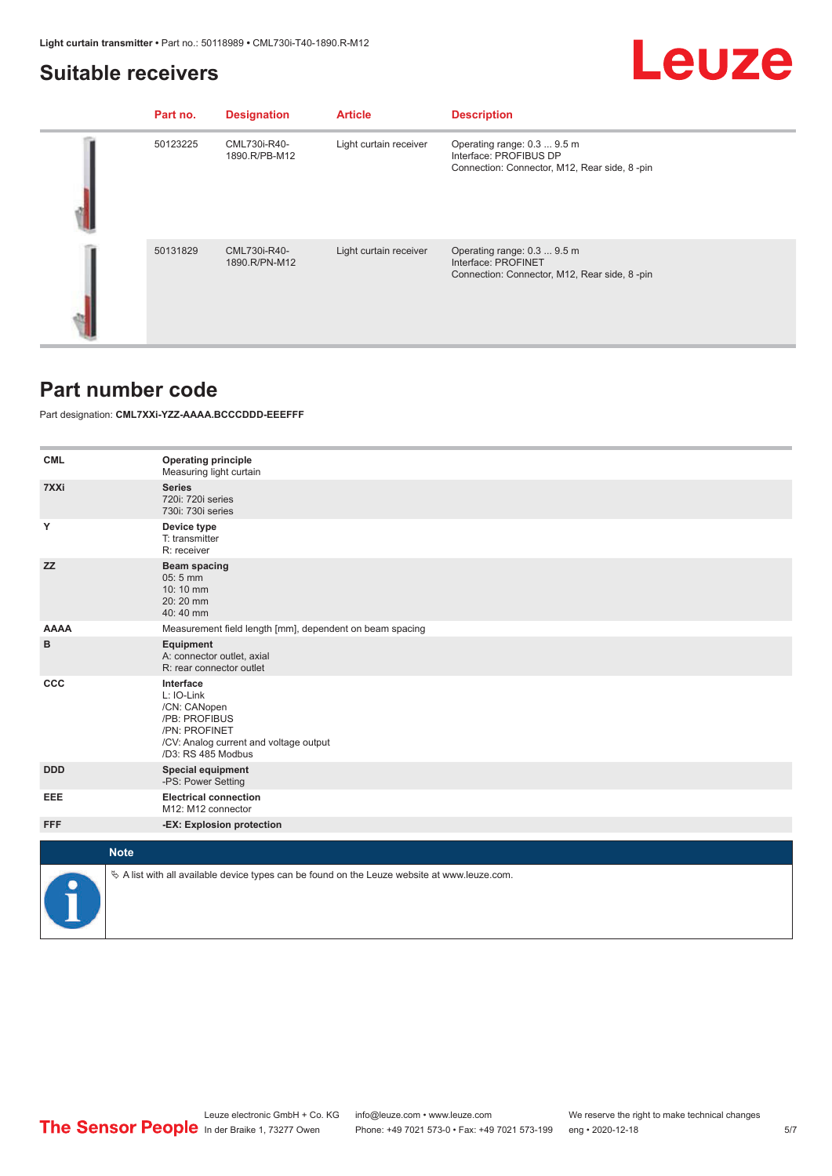## <span id="page-4-0"></span>**Suitable receivers**

# Leuze

| Part no. | <b>Designation</b>            | <b>Article</b>         | <b>Description</b>                                                                                    |
|----------|-------------------------------|------------------------|-------------------------------------------------------------------------------------------------------|
| 50123225 | CML730i-R40-<br>1890.R/PB-M12 | Light curtain receiver | Operating range: 0.3  9.5 m<br>Interface: PROFIBUS DP<br>Connection: Connector, M12, Rear side, 8-pin |
| 50131829 | CML730i-R40-<br>1890.R/PN-M12 | Light curtain receiver | Operating range: 0.3  9.5 m<br>Interface: PROFINET<br>Connection: Connector, M12, Rear side, 8-pin    |

## **Part number code**

Part designation: **CML7XXi-YZZ-AAAA.BCCCDDD-EEEFFF**

| <b>CML</b>  | <b>Operating principle</b><br>Measuring light curtain                                                                                     |
|-------------|-------------------------------------------------------------------------------------------------------------------------------------------|
| 7XXi        | <b>Series</b><br>720i: 720i series<br>730i: 730i series                                                                                   |
| Υ           | Device type<br>T: transmitter<br>R: receiver                                                                                              |
| <b>ZZ</b>   | Beam spacing<br>05:5 mm<br>10:10 mm<br>20:20 mm<br>40:40 mm                                                                               |
| <b>AAAA</b> | Measurement field length [mm], dependent on beam spacing                                                                                  |
| в           | Equipment<br>A: connector outlet, axial<br>R: rear connector outlet                                                                       |
| <b>CCC</b>  | Interface<br>L: IO-Link<br>/CN: CANopen<br>/PB: PROFIBUS<br>/PN: PROFINET<br>/CV: Analog current and voltage output<br>/D3: RS 485 Modbus |
| <b>DDD</b>  | <b>Special equipment</b><br>-PS: Power Setting                                                                                            |
| EEE         | <b>Electrical connection</b><br>M12: M12 connector                                                                                        |
| <b>FFF</b>  | -EX: Explosion protection                                                                                                                 |
|             | <b>Note</b>                                                                                                                               |
|             |                                                                                                                                           |
|             | $\&$ A list with all available device types can be found on the Leuze website at www.leuze.com.                                           |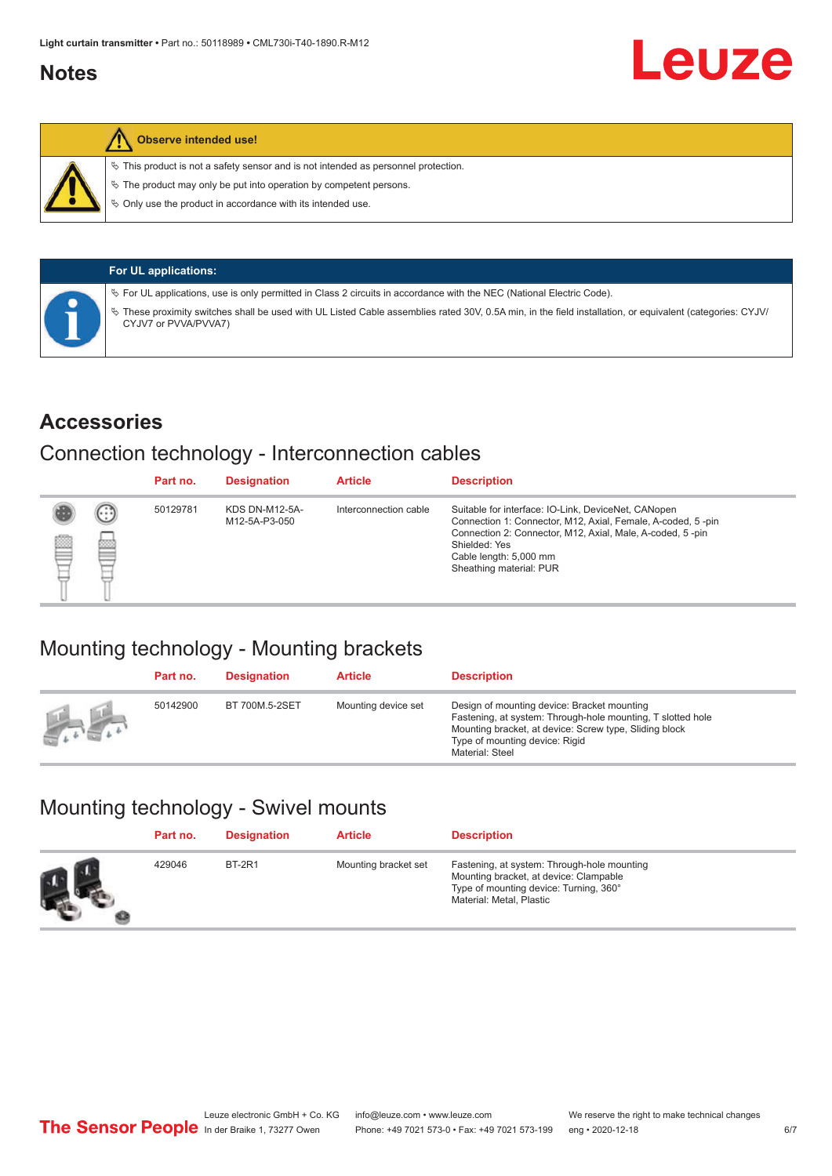# <span id="page-5-0"></span>**Notes**



### **Observe intended use!**

 $\%$  This product is not a safety sensor and is not intended as personnel protection.

 $\%$  The product may only be put into operation by competent persons.

 $\%$  Only use the product in accordance with its intended use.

| <b>For UL applications:</b>                                                                                                                                                     |
|---------------------------------------------------------------------------------------------------------------------------------------------------------------------------------|
| $\%$ For UL applications, use is only permitted in Class 2 circuits in accordance with the NEC (National Electric Code).                                                        |
| These proximity switches shall be used with UL Listed Cable assemblies rated 30V, 0.5A min, in the field installation, or equivalent (categories: CYJV/<br>CYJV7 or PVVA/PVVA7) |

### **Accessories**

# Connection technology - Interconnection cables

|   |        | Part no. | <b>Designation</b>                     | <b>Article</b>        | <b>Description</b>                                                                                                                                                                                                                                    |
|---|--------|----------|----------------------------------------|-----------------------|-------------------------------------------------------------------------------------------------------------------------------------------------------------------------------------------------------------------------------------------------------|
| Ø | ⊙<br>œ | 50129781 | <b>KDS DN-M12-5A-</b><br>M12-5A-P3-050 | Interconnection cable | Suitable for interface: IO-Link, DeviceNet, CANopen<br>Connection 1: Connector, M12, Axial, Female, A-coded, 5-pin<br>Connection 2: Connector, M12, Axial, Male, A-coded, 5-pin<br>Shielded: Yes<br>Cable length: 5,000 mm<br>Sheathing material: PUR |

# Mounting technology - Mounting brackets

|                    | Part no. | <b>Designation</b> | <b>Article</b>      | <b>Description</b>                                                                                                                                                                                                        |
|--------------------|----------|--------------------|---------------------|---------------------------------------------------------------------------------------------------------------------------------------------------------------------------------------------------------------------------|
| <b>All Control</b> | 50142900 | BT 700M.5-2SET     | Mounting device set | Design of mounting device: Bracket mounting<br>Fastening, at system: Through-hole mounting, T slotted hole<br>Mounting bracket, at device: Screw type, Sliding block<br>Type of mounting device: Rigid<br>Material: Steel |

# Mounting technology - Swivel mounts

| Part no. | <b>Designation</b> | <b>Article</b>       | <b>Description</b>                                                                                                                                          |
|----------|--------------------|----------------------|-------------------------------------------------------------------------------------------------------------------------------------------------------------|
| 429046   | <b>BT-2R1</b>      | Mounting bracket set | Fastening, at system: Through-hole mounting<br>Mounting bracket, at device: Clampable<br>Type of mounting device: Turning, 360°<br>Material: Metal, Plastic |

Leuze